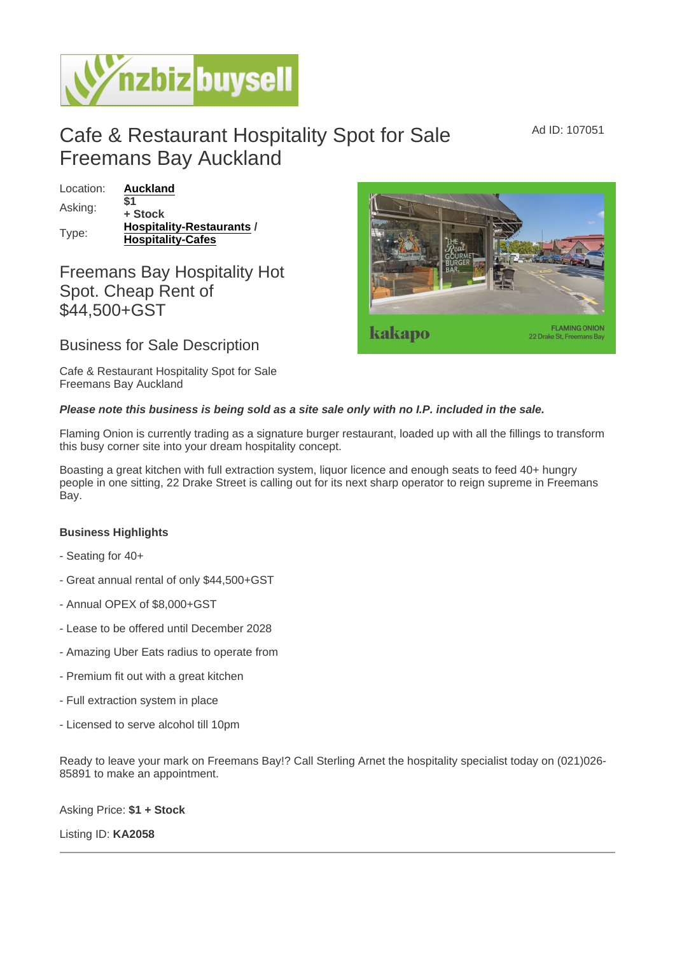## Cafe & Restaurant Hospitality Spot for Sale Freemans Bay Auckland

Location: [Auckland](https://www.nzbizbuysell.co.nz/businesses-for-sale/location/Auckland) Asking:  $\overline{$}1$ + Stock Type: [Hospitality-Restaurants](https://www.nzbizbuysell.co.nz/businesses-for-sale/Restaurants/New-Zealand) / Hospitality-Cafes

## Freemans Bay Hospitality Hot Spot. Cheap Rent of \$44,500+GST

Business for Sale Description

Cafe & Restaurant Hospitality Spot for Sale Freemans Bay Auckland

Please note this business is being sold as a site sale only with no I.P. included in the sale.

Flaming Onion is currently trading as a signature burger restaurant, loaded up with all the fillings to transform this busy corner site into your dream hospitality concept.

Boasting a great kitchen with full extraction system, liquor licence and enough seats to feed 40+ hungry people in one sitting, 22 Drake Street is calling out for its next sharp operator to reign supreme in Freemans Bay.

Business Highlights

- Seating for 40+
- Great annual rental of only \$44,500+GST
- Annual OPEX of \$8,000+GST
- Lease to be offered until December 2028
- Amazing Uber Eats radius to operate from
- Premium fit out with a great kitchen
- Full extraction system in place
- Licensed to serve alcohol till 10pm

Ready to leave your mark on Freemans Bay!? Call Sterling Arnet the hospitality specialist today on (021)026- 85891 to make an appointment.

Asking Price: \$1 + Stock

Listing ID: KA2058